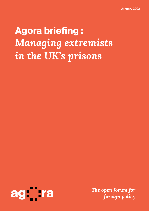# **Agora briefing :** *Managing extremists in the UK's prisons*

<span id="page-0-0"></span>

*The open forum for foreign policy*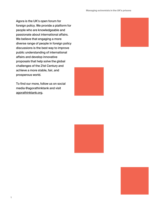Agora is the UK's open forum for foreign policy. We provide a platform for people who are knowledgeable and passionate about international affairs. We believe that engaging a more diverse range of people in foreign policy discussions is the best way to improve public understanding of international affairs and develop innovative proposals that help solve the global challenges of the 21st Century and achieve a more stable, fair, and prosperous world.

To find our more, follow us on social media @agorathinktank and visit [agorathinktank.org](https://agorathinktank.org/).





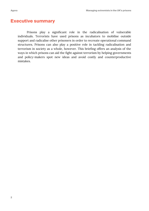## **Executive summary**

Prisons play a significant role in the radicalisation of vulnerable individuals. Terrorists have used prisons as incubators to mobilise outside support and radicalise other prisoners in order to recreate operational command structures. Prisons can also play a positive role in tackling radicalisation and terrorism in society as a whole, however. This briefing offers an analysis of the ways in which prisons can aid the fight against terrorism by helping governments and policy-makers spot new ideas and avoid costly and counterproductive mistakes.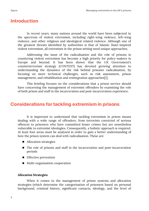## **Introduction**

In recent years, many nations around the world have been subjected to the spectrum of violent extremism, including right-wing violence, left-wing violence, and other religious and ideological related violence. Although one of the greatest threats identified by authorities is that of Islamic State-inspired violent extremism, all extremists in the prison setting need unique approaches.

Addressing the issue of the radicalisation and the role of prisons in countering violent extremism has become a high priority for policy-makers in Europe and beyond. It has been shown that the UK Government's counterterrorism strategy (CONTEST) has devoted growing attention to understanding the dynamics of the risk behind prisoner radicalisation, by focusing on more technical challenges, such as risk assessment, prison management, and rehabilitation and reintegration approaches[1].

This briefing focuses on the considerations that a prison service should have concerning the management of extremist offenders by examining the role of both prison and staff in the incarceration and post-incarceration experience.

# **Considerations for tackling extremism in prisons**

It is important to understand that tackling extremism in prison means dealing with a wide range of offenders, from terrorists convicted of serious offences to prisoners who have committed lesser crimes but are nonetheless vulnerable to extremist ideologies. Consequently, a holistic approach is required. At least four areas must be analysed in order to gain a better understanding of how the prison system can deal with radicalisation. These are:

- Allocation strategies
- The role of prisons and staff in the incarceration and post-incarceration periods
- Effective prevention
- **Multi-organisation cooperation**

#### **Allocation Strategies**

When it comes to the management of prison systems and allocation strategies (which determine the categorisation of prisoners based on personal background, criminal history, significant contacts, ideology, and the level of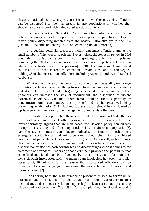threat to national security) a question arises as to whether extremist offenders can be dispersed into the mainstream inmate populations or whether they should be concentrated within dedicated specialist units[2].

Such states as the USA and the Netherlands have adopted concentration policies, whereas others have opted for dispersal policies. Spain has employed a mixed policy, dispersing inmates from the Basque Nationalist group, the ETA (Basque Homeland and Liberty), but concentrating Jihadi terrorists[3].

The UK has generally dispersed violent extremist offenders among the small number of high-security prisons. Nevertheless, the Acheson review in 2016 concluded that Islamist extremism was a growing problem within prisons, convincing the UK to create separation centres in an attempt to crack down on Islamist radicalisation within the prison[4]. In 2017, the Government announced the creation of three separation centres in Durham, York, and Milton Keynes, holding 28 of the most serious offenders, including Anjem Choudary and Michael Adebolajo.

What works in one country may not work in others, depending on a range of contextual factors, such as the prison environment and available resources and staff. On the one hand, integrating radicalised inmates amongst other prisoners can increase the risk of recruitment and dispersion of violent extremist ideologies. On the other hand, holding them separately in concentrated units can damage their physical and psychological well-being, preventing rehabilitation[5]. Undoubtedly, these factors should be considered by a prison service in relation to the management of extremist offenders.

It is widely accepted that those convicted of terrorist-related offences often radicalise and recruit other prisoners. The Government's anti-terror Prevent Strategy argues that, in such cases, the isolation policy can directly disrupt the recruiting and influencing of others in the mainstream population[6]. Nonetheless, it appears that placing radicalised prisoners together may strengthen social bonds and reinforce views about the unfair and biased treatment of particular religious and ethnic groups. As a result, in both cases, this could serve as a source of stigma and undermines rehabilitation efforts. The disperse policy also has both advantages and disadvantages when it comes to the treatment of offenders. Dispersing those criminals provides the possibility that radicalised individuals can be influenced by other inmates and abandon their views through interaction with the mainstream ideologies, however this policy poses a significant risk for the reason that radicalised offenders can be influenced by criminal gangs, maintaining the nexus between terrorism and organised crime[7].

Considering both the high number of prisoners related to terrorism or extremism and the lack of staff trained to understand the threat of extremism, a blended method is necessary for managing high-risk terrorists and preventing widespread radicalisation. The USA, for example, has developed effective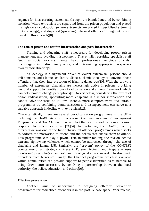regimes for incarcerating extremists through the blended method by combining isolation (where extremists are separated from the prison population and placed in single cells), co-location (where extremists are placed in specialised extremist units or wings), and dispersal (spreading extremist offender throughout prison, based on threat levels)[8].

#### **The role of prison and staff in incarceration and post-incarceration**

Training and educating staff is necessary for developing proper prison management and avoiding mistreatment. This entails recruiting specialist staff (such as social workers, mental health professionals, religious officials), encouraging inter-disciplinary work, and determining appropriate responses toward radicalisation[9].

As ideology is a significant driver of violent extremism, prisons should enlist imams and Islamic scholars to discuss Islamic theology to convince those offenders that their interpretation of Islam is dangerous[10]. With the growing number of extremists, chaplains are increasingly active in prisons, providing pastoral support to identify signs of radicalisation and a moral framework which can help inmates change perceptions[11]. Nevertheless, considering the extent of prison radicalisation, appointing more chaplains is a minor intervention and cannot solve the issue on its own. Instead, more comprehensive and durable programmes by combining deradicalisation and disengagement can serve as a valuable approach in dealing with extremism[12].

Characteristically, there are several deradicalisation programmes in the UK – including the *Health Identity Intervention*, the *Desistence and Disengagement Programme*, and *The Channel* – which together can provide a comprehensive response to violent extremism[13][14]. In particular, the *Healthy Identity Intervention* was one of the first behavioural offender programmes which seeks to address the motivation to offend and the beliefs that enable them to offend. This programme can play a pivotal role in understanding the reason behind extreme right-wing violence, which cannot be addressed through the use of chaplains and imams [15]. Similarly, the "prevent" policy of the CONTEST counter-terrorism strategy – Prevent, Pursue, Protect, and Prepare – uses mentoring, psychological support, and ideological advice in order to disengage offenders from terrorism. Finally, the Channel programme which is available within communities can provide support to people identified as vulnerable to being drawn into terrorism, by involving a partnership between the local authority, the police, education, and others[16].

#### **Effective prevention**

Another issue of importance in designing effective prevention programmes for radicalised offenders is in the post-release space. After release,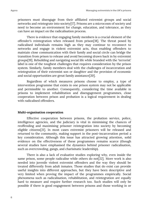prisoners must disengage from their affiliated extremist groups and social networks and reintegrate into society[17]. Prisons are a microcosm of society and need to become an environment for change, education, and tolerance, as they can have an impact on the radicalisation process.

There is evidence that engaging family members is a crucial element of the offender's reintegration when released from prison[18]. The threat posed by radicalised individuals remains high as they may continue to reconnect to networks and engage in violent extremist acts, thus enabling offenders to maintain close communication with their family and social circle can bridge the transition from prison to release and avoid becoming drawn back in by extremist groups[19]. Rebuilding and navigating social life while branded with the 'terrorist' label is one of the toughest challenges that requires consideration by the prison system. Similarly, family members deal with the challenges of incarceration and reintegration of their extremist son or daughter and the provision of economic and social opportunities are great family assistance[20].

Regardless of which measures prisons choose to employ, a type of intervention programme that exists in one prison system may not be applicable and permissible to another. Consequently, considering the time available in prisons to implement rehabilitation and disengagement programmes, close cooperation between prison and probation is a logical requirement in dealing with radicalised offenders.

#### **Multi-organisation cooperation**

Effective cooperation between prisons, the probation service, police, intelligence agencies, and the judiciary is vital in minimising the chances of reoffending and maximising prisoner reintegration into society by becoming eligible citizens[21]. In most cases extremist prisoners will be released and returned to the community, making support in the post-incarceration period a key consideration. Although this issue has attracted growing attention, solid evidence on the effectiveness of these programmes remains scarce (though several studies have emphasised the dynamics behind prisoner radicalisation, such as overcrowding, gangs, and charismatic leadership).

There is also a lack of evaluative studies exploring why, even inside the same prison, some people radicalise while others do not[22]. More work is also needed into juvenile violent extremist offenders and the way they should be treated differently from adult inmates. Those studies that do exist can provide useful insights into different approaches, but they have been descriptive and very limited when proving the impact of the programmes empirically. Social phenomena such as radicalisation, rehabilitation, and reintegration are equally hard to measure and require further research too. Such studies will only be possible if there is good engagement between prisons and those working in or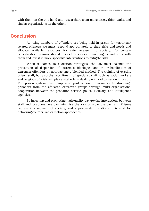with them on the one hand and researchers from universities, think tanks, and similar organisations on the other.

## **Conclusion**

As rising numbers of offenders are being held in prison for terrorismrelated offences, we must respond appropriately to their risks and needs and allocate available resources for safe release into society. To contain radicalisation, prisons should respect prisoners' human rights and work with them and invest in more specialist interventions to mitigate risks.

When it comes to allocation strategies, the UK must balance the prevention of dispersion of extremist ideologies and the rehabilitation of extremist offenders by approaching a blended method. The training of existing prison staff, but also the recruitment of specialist staff such as social workers and religious officials will play a vital role in dealing with radicalisation in prison. The prison system must emphasise post-release programmes to disengage prisoners from the affiliated extremist groups through multi-organisational cooperation between the probation service, police, judiciary, and intelligence agencies.

By investing and promoting high-quality day-to-day interactions between staff and prisoners, we can minimise the risk of violent extremism. Prisons represent a segment of society, and a prison-staff relationship is vital for delivering counter-radicalisation approaches.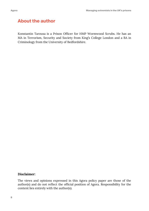# **About the author**

Konstantin Tarousa is a Prison Officer for HMP Wormwood Scrubs. He has an MA in Terrorism, Security and Society from King's College London and a BA in Criminology from the University of Bedfordshire.

#### **Disclaimer:**

The views and opinions expressed in this Agora policy paper are those of the author(s) and do not reflect the official position of Agora. Responsibility for the content lies entirely with the author(s).